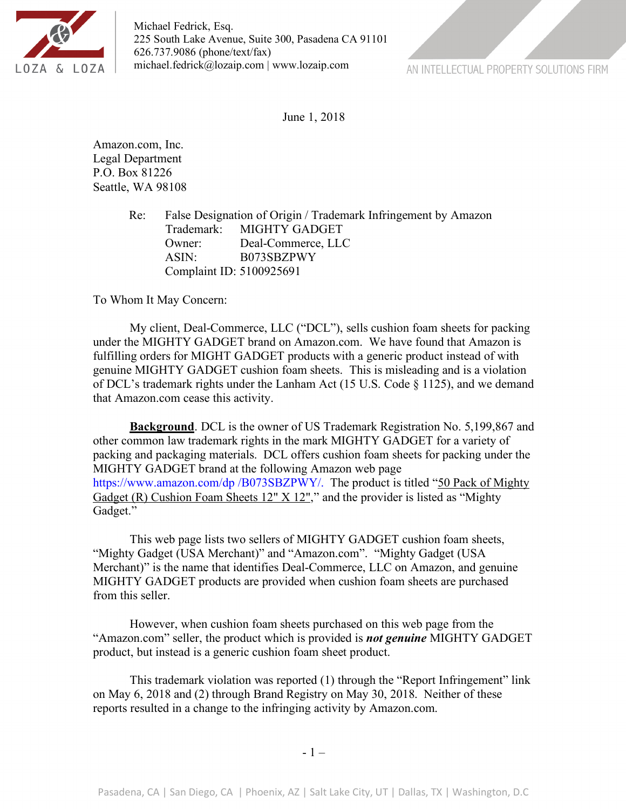

Michael Fedrick, Esq. 225 South Lake Avenue, Suite 300, Pasadena CA 91101 626.737.9086 (phone/text/fax) michael.fedrick@lozaip.com | www.lozaip.com

AN INTELLECTUAL PROPERTY SOLUTIONS FIRM

June 1, 2018

Amazon.com, Inc. Legal Department P.O. Box 81226 Seattle, WA 98108

> Re: False Designation of Origin / Trademark Infringement by Amazon Trademark: MIGHTY GADGET Owner: Deal-Commerce, LLC ASIN: B073SBZPWY Complaint ID: 5100925691

To Whom It May Concern:

My client, Deal-Commerce, LLC ("DCL"), sells cushion foam sheets for packing under the MIGHTY GADGET brand on Amazon.com. We have found that Amazon is fulfilling orders for MIGHT GADGET products with a generic product instead of with genuine MIGHTY GADGET cushion foam sheets. This is misleading and is a violation of DCL's trademark rights under the Lanham Act (15 U.S. Code § 1125), and we demand that Amazon.com cease this activity.

**Background**. DCL is the owner of US Trademark Registration No. 5,199,867 and other common law trademark rights in the mark MIGHTY GADGET for a variety of packing and packaging materials. DCL offers cushion foam sheets for packing under the MIGHTY GADGET brand at the following Amazon web page https://www.amazon.com/dp /B073SBZPWY/. The product is titled "50 Pack of Mighty Gadget (R) Cushion Foam Sheets 12" X 12"," and the provider is listed as "Mighty" Gadget."

This web page lists two sellers of MIGHTY GADGET cushion foam sheets, "Mighty Gadget (USA Merchant)" and "Amazon.com". "Mighty Gadget (USA Merchant)" is the name that identifies Deal-Commerce, LLC on Amazon, and genuine MIGHTY GADGET products are provided when cushion foam sheets are purchased from this seller.

However, when cushion foam sheets purchased on this web page from the "Amazon.com" seller, the product which is provided is *not genuine* MIGHTY GADGET product, but instead is a generic cushion foam sheet product.

This trademark violation was reported (1) through the "Report Infringement" link on May 6, 2018 and (2) through Brand Registry on May 30, 2018. Neither of these reports resulted in a change to the infringing activity by Amazon.com.

- 1 –